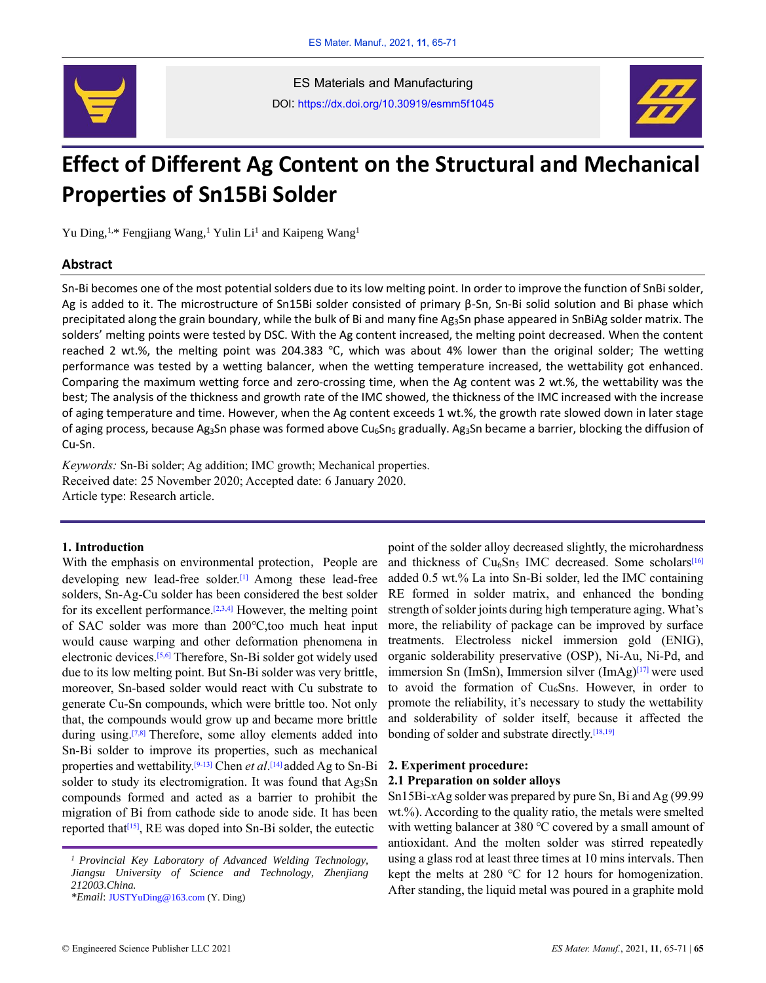

ES Materials and Manufacturing DOI: https://dx.doi.org/10.30919/esmm5f1045



# **Effect of Different Ag Content on the Structural and Mechanical Properties of Sn15Bi Solder**

Yu Ding,<sup>1,\*</sup> Fengjiang Wang,<sup>1</sup> Yulin Li<sup>1</sup> and Kaipeng Wang<sup>1</sup>

### **Abstract**

Sn-Bi becomes one of the most potential solders due to its low melting point. In order to improve the function of SnBi solder, Ag is added to it. The microstructure of Sn15Bi solder consisted of primary β-Sn, Sn-Bi solid solution and Bi phase which precipitated along the grain boundary, while the bulk of Bi and many fine Ag3Sn phase appeared in SnBiAg solder matrix. The solders' melting points were tested by DSC. With the Ag content increased, the melting point decreased. When the content reached 2 wt.%, the melting point was 204.383 ℃, which was about 4% lower than the original solder; The wetting performance was tested by a wetting balancer, when the wetting temperature increased, the wettability got enhanced. Comparing the maximum wetting force and zero-crossing time, when the Ag content was 2 wt.%, the wettability was the best; The analysis of the thickness and growth rate of the IMC showed, the thickness of the IMC increased with the increase of aging temperature and time. However, when the Ag content exceeds 1 wt.%, the growth rate slowed down in later stage of aging process, because Ag<sub>3</sub>Sn phase was formed above Cu<sub>6</sub>Sn<sub>5</sub> gradually. Ag<sub>3</sub>Sn became a barrier, blocking the diffusion of Cu-Sn.

*Keywords:* Sn-Bi solder; Ag addition; IMC growth; Mechanical properties. Received date: 25 November 2020; Accepted date: 6 January 2020. Article type: Research article.

## **1. Introduction**

With the emphasis on environmental protection, People are developing new lead-free solder.<sup>[1]</sup> Among these lead-free solders, Sn-Ag-Cu solder has been considered the best solder for its excellent performance.<sup>[2,3,4]</sup> However, the melting point of SAC solder was more than 200℃,too much heat input would cause warping and other deformation phenomena in electronic devices.[5,6] Therefore, Sn-Bi solder got widely used due to its low melting point. But Sn-Bi solder was very brittle, moreover, Sn-based solder would react with Cu substrate to generate Cu-Sn compounds, which were brittle too. Not only that, the compounds would grow up and became more brittle during using.<sup>[7,8]</sup> Therefore, some alloy elements added into Sn-Bi solder to improve its properties, such as mechanical properties and wettability.[9-13] Chen *et al*. [14] added Ag to Sn-Bi solder to study its electromigration. It was found that Ag<sub>3</sub>Sn compounds formed and acted as a barrier to prohibit the migration of Bi from cathode side to anode side. It has been reported that<sup> $[15]$ </sup>, RE was doped into Sn-Bi solder, the eutectic

point of the solder alloy decreased slightly, the microhardness and thickness of  $Cu<sub>6</sub>Sn<sub>5</sub>$  IMC decreased. Some scholars<sup>[16]</sup> added 0.5 wt.% La into Sn-Bi solder, led the IMC containing RE formed in solder matrix, and enhanced the bonding strength of solder joints during high temperature aging. What's more, the reliability of package can be improved by surface treatments. Electroless nickel immersion gold (ENIG), organic solderability preservative (OSP), Ni-Au, Ni-Pd, and immersion Sn (ImSn), Immersion silver  $(ImAg)^{[17]}$  were used to avoid the formation of Cu<sub>6</sub>Sn<sub>5</sub>. However, in order to promote the reliability, it's necessary to study the wettability and solderability of solder itself, because it affected the bonding of solder and substrate directly.[18,19]

# **2. Experiment procedure: 2.1 Preparation on solder alloys**

Sn15Bi-*x*Ag solder was prepared by pure Sn, Bi and Ag (99.99 wt.%). According to the quality ratio, the metals were smelted with wetting balancer at 380 ℃ covered by a small amount of antioxidant. And the molten solder was stirred repeatedly using a glass rod at least three times at 10 mins intervals. Then kept the melts at 280 ℃ for 12 hours for homogenization. After standing, the liquid metal was poured in a graphite mold

*<sup>1</sup>Provincial Key Laboratory of Advanced Welding Technology, Jiangsu University of Science and Technology, Zhenjiang 212003.China.*

*<sup>\*</sup>Email*: JUSTYuDing@163.com (Y. Ding)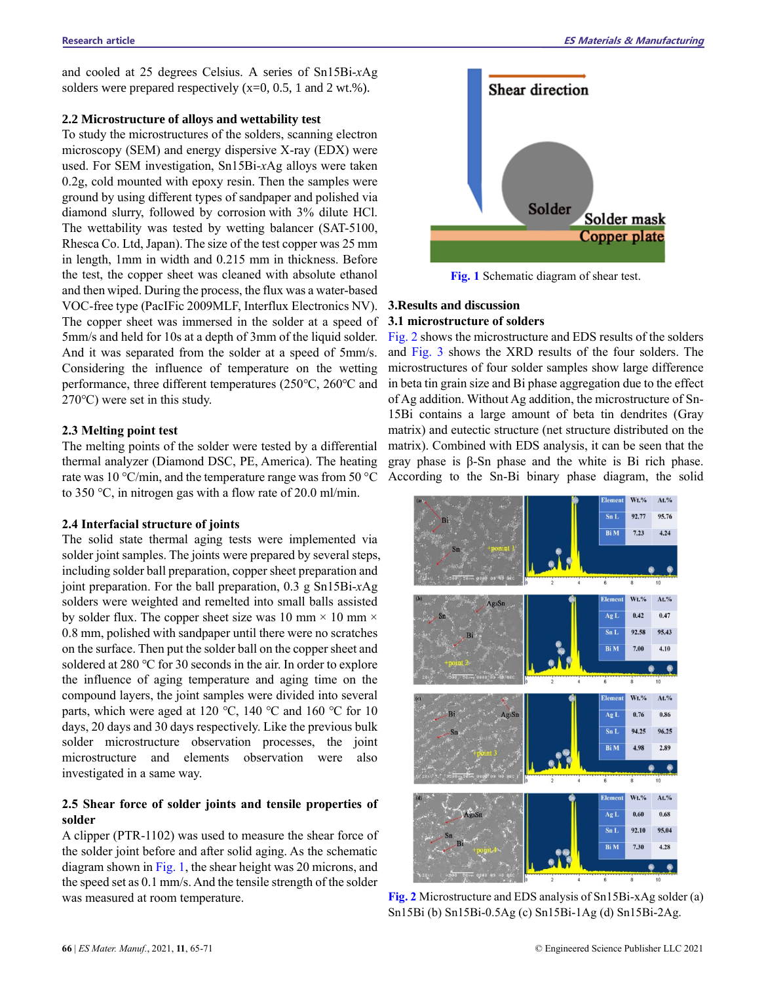and cooled at 25 degrees Celsius. A series of Sn15Bi-*x*Ag solders were prepared respectively (x=0, 0.5, 1 and 2 wt.%).

# **2.2 Microstructure of alloys and wettability test**

To study the microstructures of the solders, scanning electron microscopy (SEM) and energy dispersive X-ray (EDX) were used. For SEM investigation, Sn15Bi-*x*Ag alloys were taken 0.2g, cold mounted with epoxy resin. Then the samples were ground by using different types of sandpaper and polished via diamond slurry, followed by corrosion with 3% dilute HCl. The wettability was tested by wetting balancer (SAT-5100, Rhesca Co. Ltd, Japan). The size of the test copper was 25 mm in length, 1mm in width and 0.215 mm in thickness. Before the test, the copper sheet was cleaned with absolute ethanol and then wiped. During the process, the flux was a water-based VOC-free type (PacIFic 2009MLF, Interflux Electronics NV). The copper sheet was immersed in the solder at a speed of 5mm/s and held for 10s at a depth of 3mm of the liquid solder. And it was separated from the solder at a speed of 5mm/s. Considering the influence of temperature on the wetting performance, three different temperatures (250℃, 260℃ and 270℃) were set in this study.

#### **2.3 Melting point test**

The melting points of the solder were tested by a differential thermal analyzer (Diamond DSC, PE, America). The heating rate was 10 °C/min, and the temperature range was from 50 °C According to the Sn-Bi binary phase diagram, the solid to 350 °C, in nitrogen gas with a flow rate of 20.0 ml/min.

#### **2.4 Interfacial structure of joints**

The solid state thermal aging tests were implemented via solder joint samples. The joints were prepared by several steps, including solder ball preparation, copper sheet preparation and joint preparation. For the ball preparation, 0.3 g Sn15Bi-*x*Ag solders were weighted and remelted into small balls assisted by solder flux. The copper sheet size was 10 mm  $\times$  10 mm  $\times$ 0.8 mm, polished with sandpaper until there were no scratches on the surface. Then put the solder ball on the copper sheet and soldered at 280 ℃ for 30 seconds in the air. In order to explore the influence of aging temperature and aging time on the compound layers, the joint samples were divided into several parts, which were aged at 120 ℃, 140 ℃ and 160 ℃ for 10 days, 20 days and 30 days respectively. Like the previous bulk solder microstructure observation processes, the joint microstructure and elements observation were also investigated in a same way.

# **2.5 Shear force of solder joints and tensile properties of solder**

A clipper (PTR-1102) was used to measure the shear force of the solder joint before and after solid aging. As the schematic diagram shown in Fig. 1, the shear height was 20 microns, and the speed set as 0.1 mm/s. And the tensile strength of the solder was measured at room temperature.



**Fig. 1** Schematic diagram of shear test.

# **3.Results and discussion**

# **3.1 microstructure of solders**

Fig. 2 shows the microstructure and EDS results of the solders and Fig. 3 shows the XRD results of the four solders. The microstructures of four solder samples show large difference in beta tin grain size and Bi phase aggregation due to the effect of Ag addition. Without Ag addition, the microstructure of Sn-15Bi contains a large amount of beta tin dendrites (Gray matrix) and eutectic structure (net structure distributed on the matrix). Combined with EDS analysis, it can be seen that the gray phase is β-Sn phase and the white is Bi rich phase.



**Fig. 2** Microstructure and EDS analysis of Sn15Bi-xAg solder (a) Sn15Bi (b) Sn15Bi-0.5Ag (c) Sn15Bi-1Ag (d) Sn15Bi-2Ag.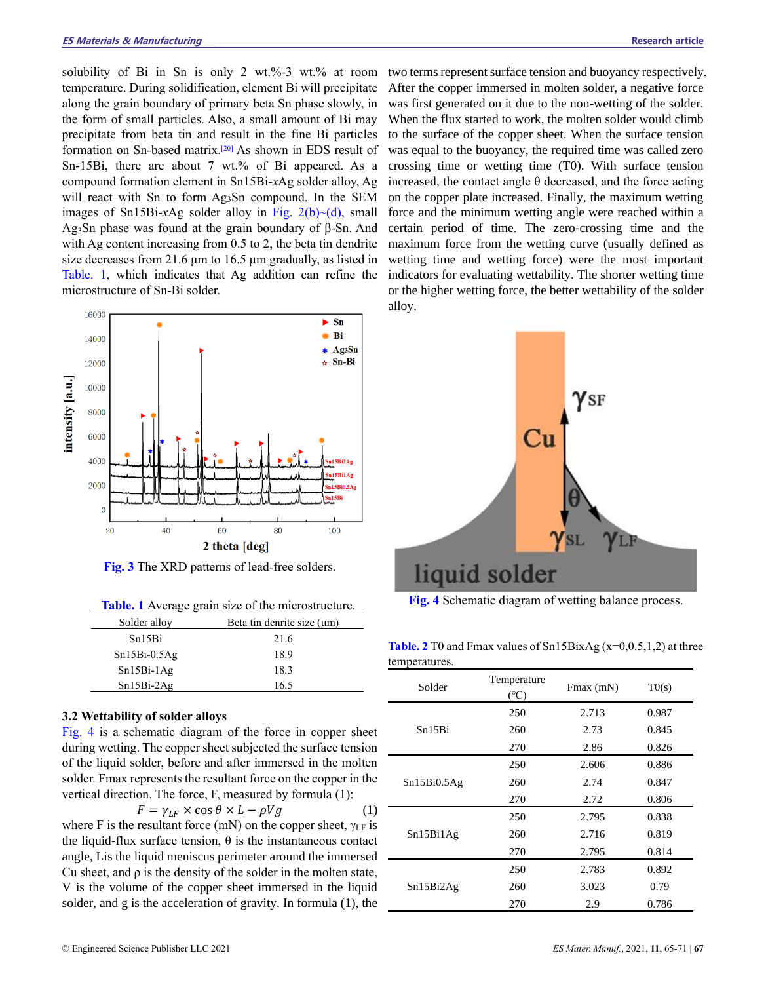solubility of Bi in Sn is only 2 wt.%-3 wt.% at room temperature. During solidification, element Bi will precipitate along the grain boundary of primary beta Sn phase slowly, in the form of small particles. Also, a small amount of Bi may precipitate from beta tin and result in the fine Bi particles formation on Sn-based matrix.[20] As shown in EDS result of Sn-15Bi, there are about 7 wt.% of Bi appeared. As a compound formation element in Sn15Bi-*x*Ag solder alloy, Ag will react with Sn to form Ag<sub>3</sub>Sn compound. In the SEM images of Sn15Bi-xAg solder alloy in Fig.  $2(b)$   $\neg$  (d), small Ag3Sn phase was found at the grain boundary of β-Sn. And with Ag content increasing from 0.5 to 2, the beta tin dendrite size decreases from 21.6 μm to 16.5 μm gradually, as listed in Table. 1, which indicates that Ag addition can refine the microstructure of Sn-Bi solder.



**Fig. 3** The XRD patterns of lead-free solders.

**Table. 1** Average grain size of the microstructure.

| Solder alloy       | Beta tin denrite size (µm) |  |
|--------------------|----------------------------|--|
| Sn <sub>15Bi</sub> | 21.6                       |  |
| $Sn15Bi-0.5Ag$     | 18.9                       |  |
| $Sn15Bi-1Ag$       | 18.3                       |  |
| $Sn15Bi-2Ag$       | 16.5                       |  |

### **3.2 Wettability of solder alloys**

Fig. 4 is a schematic diagram of the force in copper sheet during wetting. The copper sheet subjected the surface tension of the liquid solder, before and after immersed in the molten solder. Fmax represents the resultant force on the copper in the vertical direction. The force, F, measured by formula (1):

$$
F = \gamma_{LF} \times \cos \theta \times L - \rho Vg \tag{1}
$$

where F is the resultant force (mN) on the copper sheet,  $\gamma$ <sub>LF</sub> is the liquid-flux surface tension,  $\theta$  is the instantaneous contact angle, Lis the liquid meniscus perimeter around the immersed Cu sheet, and ρ is the density of the solder in the molten state, V is the volume of the copper sheet immersed in the liquid solder, and g is the acceleration of gravity. In formula (1), the

two terms represent surface tension and buoyancy respectively. After the copper immersed in molten solder, a negative force was first generated on it due to the non-wetting of the solder. When the flux started to work, the molten solder would climb to the surface of the copper sheet. When the surface tension was equal to the buoyancy, the required time was called zero crossing time or wetting time (T0). With surface tension increased, the contact angle  $\theta$  decreased, and the force acting on the copper plate increased. Finally, the maximum wetting force and the minimum wetting angle were reached within a certain period of time. The zero-crossing time and the maximum force from the wetting curve (usually defined as wetting time and wetting force) were the most important indicators for evaluating wettability. The shorter wetting time or the higher wetting force, the better wettability of the solder alloy.



**Fig. 4** Schematic diagram of wetting balance process.

| <b>Table. 2</b> T0 and Fmax values of $Sn15BixAg(x=0,0.5,1,2)$ at three |  |
|-------------------------------------------------------------------------|--|
| temperatures.                                                           |  |

| Solder      | Temperature<br>$(^{\circ}C)$ | $Fmax$ (mN) | T0(s) |
|-------------|------------------------------|-------------|-------|
|             | 250                          | 2.713       | 0.987 |
| Sn15Bi      | 260                          | 2.73        | 0.845 |
|             | 270                          | 2.86        | 0.826 |
| Sn15Bi0.5Ag | 250                          | 2.606       | 0.886 |
|             | 260                          | 2.74        | 0.847 |
|             | 270                          | 2.72        | 0.806 |
| Sn15Bi1Ag   | 250                          | 2.795       | 0.838 |
|             | 260                          | 2.716       | 0.819 |
|             | 270                          | 2.795       | 0.814 |
| Sn15Bi2Ag   | 250                          | 2.783       | 0.892 |
|             | 260                          | 3.023       | 0.79  |
|             | 270                          | 2.9         | 0.786 |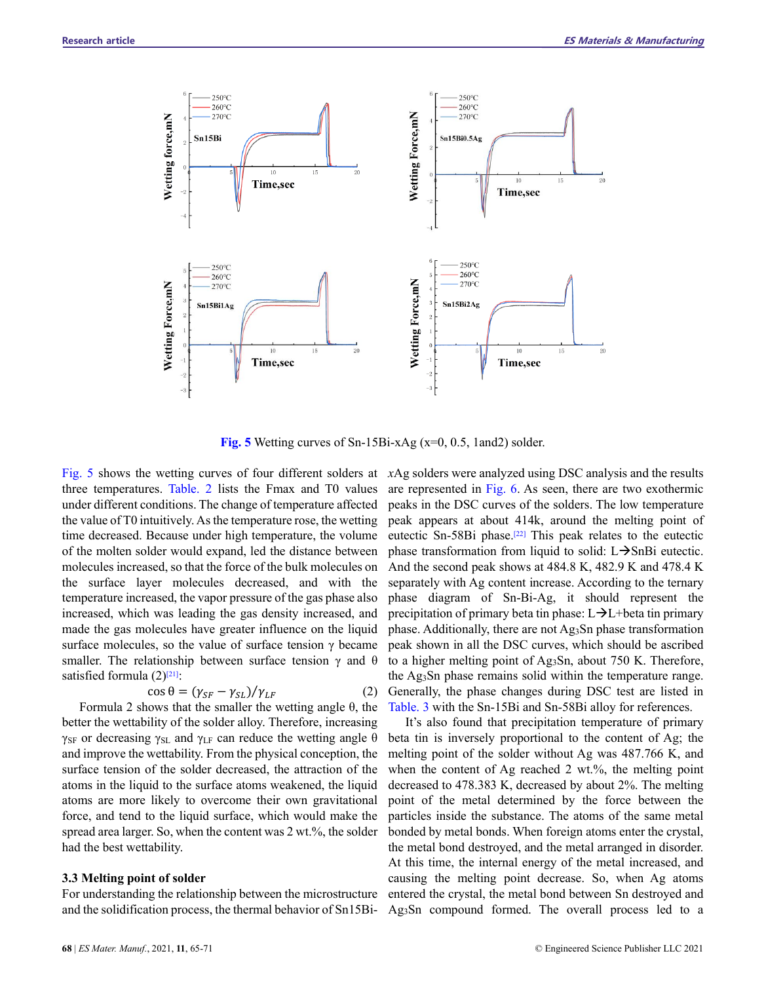

**Fig. 5** Wetting curves of Sn-15Bi-xAg (x=0, 0.5, 1and2) solder.

Fig. 5 shows the wetting curves of four different solders at *x*Ag solders were analyzed using DSC analysis and the results three temperatures. Table. 2 lists the Fmax and T0 values under different conditions. The change of temperature affected the value of T0 intuitively. As the temperature rose, the wetting time decreased. Because under high temperature, the volume of the molten solder would expand, led the distance between molecules increased, so that the force of the bulk molecules on the surface layer molecules decreased, and with the temperature increased, the vapor pressure of the gas phase also increased, which was leading the gas density increased, and made the gas molecules have greater influence on the liquid surface molecules, so the value of surface tension γ became smaller. The relationship between surface tension  $\gamma$  and  $\theta$ satisfied formula  $(2)^{[21]}$ :

$$
\cos \theta = (\gamma_{SF} - \gamma_{SL}) / \gamma_{LF} \tag{2}
$$

Formula 2 shows that the smaller the wetting angle θ, the better the wettability of the solder alloy. Therefore, increasing  $\gamma_{SF}$  or decreasing  $\gamma_{SL}$  and  $\gamma_{LF}$  can reduce the wetting angle θ and improve the wettability. From the physical conception, the surface tension of the solder decreased, the attraction of the atoms in the liquid to the surface atoms weakened, the liquid atoms are more likely to overcome their own gravitational force, and tend to the liquid surface, which would make the spread area larger. So, when the content was 2 wt.%, the solder had the best wettability.

# **3.3 Melting point of solder**

For understanding the relationship between the microstructure and the solidification process, the thermal behavior of Sn15Bi-

are represented in Fig. 6. As seen, there are two exothermic peaks in the DSC curves of the solders. The low temperature peak appears at about 414k, around the melting point of eutectic Sn-58Bi phase.[22] This peak relates to the eutectic phase transformation from liquid to solid:  $L\rightarrow$ SnBi eutectic. And the second peak shows at 484.8 K, 482.9 K and 478.4 K separately with Ag content increase. According to the ternary phase diagram of Sn-Bi-Ag, it should represent the precipitation of primary beta tin phase: L→L+beta tin primary phase. Additionally, there are not Ag<sub>3</sub>Sn phase transformation peak shown in all the DSC curves, which should be ascribed to a higher melting point of Ag3Sn, about 750 K. Therefore, the Ag3Sn phase remains solid within the temperature range. Generally, the phase changes during DSC test are listed in Table. 3 with the Sn-15Bi and Sn-58Bi alloy for references.

It's also found that precipitation temperature of primary beta tin is inversely proportional to the content of Ag; the melting point of the solder without Ag was 487.766 K, and when the content of Ag reached 2 wt.%, the melting point decreased to 478.383 K, decreased by about 2%. The melting point of the metal determined by the force between the particles inside the substance. The atoms of the same metal bonded by metal bonds. When foreign atoms enter the crystal, the metal bond destroyed, and the metal arranged in disorder. At this time, the internal energy of the metal increased, and causing the melting point decrease. So, when Ag atoms entered the crystal, the metal bond between Sn destroyed and Ag3Sn compound formed. The overall process led to a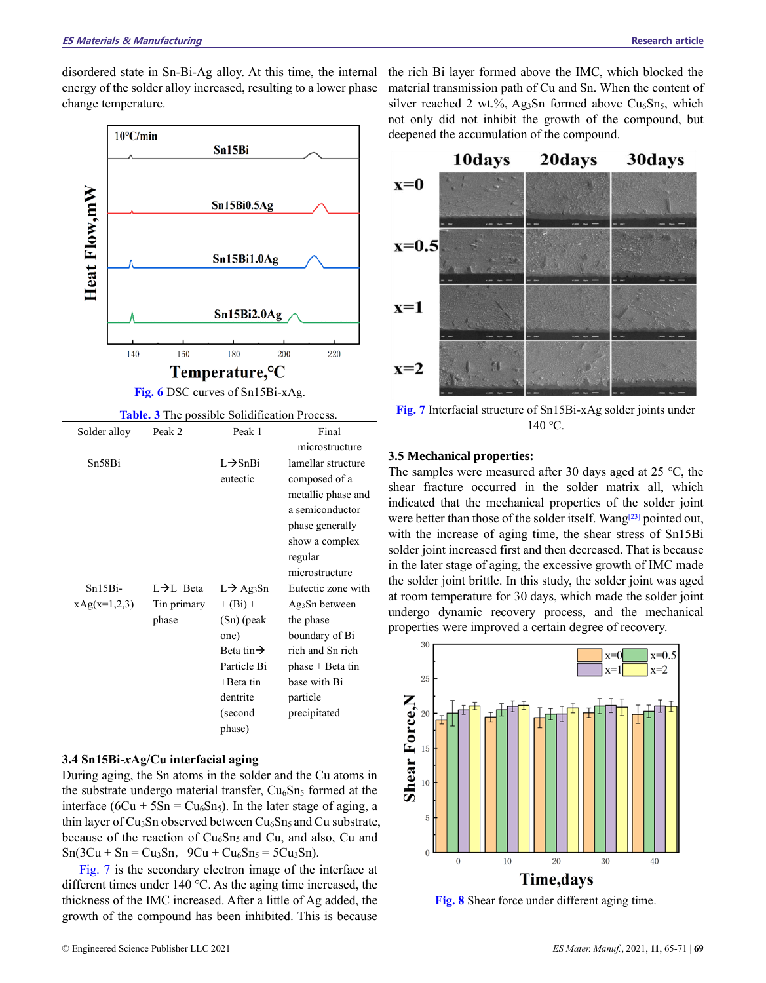disordered state in Sn-Bi-Ag alloy. At this time, the internal energy of the solder alloy increased, resulting to a lower phase change temperature.



**Fig. 6** DSC curves of Sn15Bi-xAg.

**Table. 3** The possible [Solidification Process.](http://www.baidu.com/link?url=B7AcXYSu8YcoLrf1Z-Em1VcxU0fTIo5CV7tjBzZo8ZvlS3Zm21Dltmq-E3YG8Vr_gjOjmLc_BfXFFQNDATrnHSnullQ2Qs2yYEMEijB8azmJaFiaIlcbbsQOz4fvp4W2)

| Solder alloy   | Peak 2                   | Peak 1                 | Final                                  |
|----------------|--------------------------|------------------------|----------------------------------------|
|                |                          |                        | microstructure                         |
| Sn58Bi         |                          | $L \rightarrow ShBi$   | lamellar structure                     |
|                |                          | eutectic               | composed of a                          |
|                |                          |                        | metallic phase and                     |
|                |                          |                        | a semiconductor                        |
|                |                          |                        | phase generally                        |
|                |                          |                        | show a complex                         |
|                |                          |                        | regular                                |
|                |                          |                        | microstructure                         |
| $Sn15Bi-$      | $L \rightarrow L + Beta$ | $L \rightarrow Ag_3Sn$ | Eutectic zone with                     |
| $xAg(x=1,2,3)$ | Tin primary              | $+ (Bi) +$             | Ag <sub>3</sub> S <sub>n</sub> between |
|                | phase                    | (Sn) (peak             | the phase                              |
|                |                          | one)                   | boundary of Bi                         |
|                |                          | Beta tin $\rightarrow$ | rich and Sn rich                       |
|                |                          | Particle Bi            | $phase + Beta tin$                     |
|                |                          | $+$ Beta tin           | base with Bi                           |
|                |                          | dentrite               | particle                               |
|                |                          | (second                | precipitated                           |
|                |                          | phase)                 |                                        |

# **3.4 Sn15Bi-***x***Ag/Cu interfacial aging**

During aging, the Sn atoms in the solder and the Cu atoms in the substrate undergo material transfer,  $Cu<sub>6</sub>Sn<sub>5</sub>$  formed at the interface ( $6Cu + 5Sn = Cu<sub>6</sub>Sn<sub>5</sub>$ ). In the later stage of aging, a thin layer of Cu<sub>3</sub>Sn observed between  $Cu<sub>6</sub>Sn<sub>5</sub>$  and Cu substrate, because of the reaction of Cu<sub>6</sub>Sn<sub>5</sub> and Cu, and also, Cu and  $Sn(3Cu + Sn = Cu_3Sn, 9Cu + Cu_6Sn_5 = 5Cu_3Sn).$ 

Fig. 7 is the secondary electron image of the interface at different times under 140 ℃. As the aging time increased, the thickness of the IMC increased. After a little of Ag added, the growth of the compound has been inhibited. This is because

the rich Bi layer formed above the IMC, which blocked the material transmission path of Cu and Sn. When the content of silver reached 2 wt.%, Ag<sub>3</sub>Sn formed above Cu<sub>6</sub>Sn<sub>5</sub>, which not only did not inhibit the growth of the compound, but deepened the accumulation of the compound.



**Fig. 7** Interfacial structure of Sn15Bi-xAg solder joints under 140 ℃.

# **3.5 Mechanical properties:**

The samples were measured after 30 days aged at 25 ℃, the shear fracture occurred in the solder matrix all, which indicated that the mechanical properties of the solder joint were better than those of the solder itself. Wang<sup>[23]</sup> pointed out, with the increase of aging time, the shear stress of Sn15Bi solder joint increased first and then decreased. That is because in the later stage of aging, the excessive growth of IMC made the solder joint brittle. In this study, the solder joint was aged at room temperature for 30 days, which made the solder joint undergo dynamic recovery process, and the mechanical properties were improved a certain degree of recovery.



**Fig. 8** Shear force under different aging time.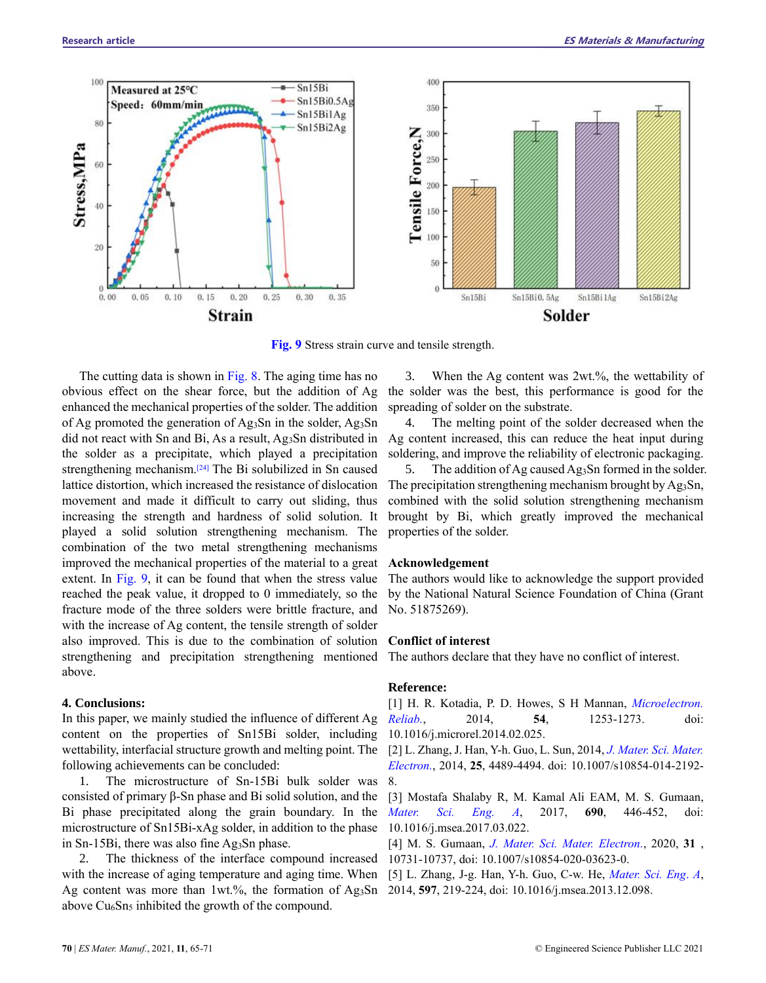

**Fig. 9** Stress strain curve and tensile strength.

The cutting data is shown in Fig. 8. The aging time has no obvious effect on the shear force, but the addition of Ag enhanced the mechanical properties of the solder. The addition of Ag promoted the generation of Ag<sub>3</sub>Sn in the solder, Ag<sub>3</sub>Sn did not react with Sn and Bi, As a result, Ag3Sn distributed in the solder as a precipitate, which played a precipitation strengthening mechanism.<sup>[24]</sup> The Bi solubilized in Sn caused lattice distortion, which increased the resistance of dislocation movement and made it difficult to carry out sliding, thus increasing the strength and hardness of solid solution. It played a solid solution strengthening mechanism. The combination of the two metal strengthening mechanisms improved the mechanical properties of the material to a great extent. In Fig. 9, it can be found that when the stress value reached the peak value, it dropped to 0 immediately, so the fracture mode of the three solders were brittle fracture, and with the increase of Ag content, the tensile strength of solder also improved. This is due to the combination of solution strengthening and precipitation strengthening mentioned above.

#### **4. Conclusions:**

In this paper, we mainly studied the influence of different Ag content on the properties of Sn15Bi solder, including wettability, interfacial structure growth and melting point. The [2] L. Zhang, J. Han, Y-h. Guo, L. Sun, 2014, *J. Mater. Sci. Mater.* following achievements can be concluded:

1. The microstructure of Sn-15Bi bulk solder was 8. consisted of primary β-Sn phase and Bi solid solution, and the Bi phase precipitated along the grain boundary. In the microstructure of Sn15Bi-xAg solder, in addition to the phase in Sn-15Bi, there was also fine Ag3Sn phase.

2. The thickness of the interface compound increased with the increase of aging temperature and aging time. When [5] L. Zhang, J-g. Han, Y-h. Guo, C-w. He, *Mater. Sci. Eng*. *A*, Ag content was more than 1wt.%, the formation of Ag3Sn 2014, **597**, 219-224, doi: 10.1016/j.msea.2013.12.098.above  $Cu<sub>6</sub>Sn<sub>5</sub>$  inhibited the growth of the compound.

3. When the Ag content was 2wt.%, the wettability of the solder was the best, this performance is good for the spreading of solder on the substrate.

4. The melting point of the solder decreased when the Ag content increased, this can reduce the heat input during soldering, and improve the reliability of electronic packaging.

5. The addition of Ag caused Ag3Sn formed in the solder. The precipitation strengthening mechanism brought by Ag<sub>3</sub>Sn, combined with the solid solution strengthening mechanism brought by Bi, which greatly improved the mechanical properties of the solder.

#### **Acknowledgement**

The authors would like to acknowledge the support provided by the National Natural Science Foundation of China (Grant No. 51875269).

#### **Conflict of interest**

The authors declare that they have no conflict of interest.

### **Reference:**

[1] H. R. Kotadia, P. D. Howes, S H Mannan, *Microelectron. Reliab.*, 2014, **54**, 1253-1273. doi: 10.1016/j.microrel.2014.02.025.

*Electron.*, 2014, **25**, 4489-4494. doi: 10.1007/s10854-014-2192-

[3] Mostafa Shalaby R, M. Kamal Ali EAM, M. S. Gumaan, *Mater. Sci. Eng. A*, 2017, **690**, 446-452, doi: 10.1016/j.msea.2017.03.022.

[4] M. S. Gumaan, *J. Mater. Sci. Mater. Electron.*, 2020, **31** , 10731-10737, doi: 10.1007/s10854-020-03623-0.